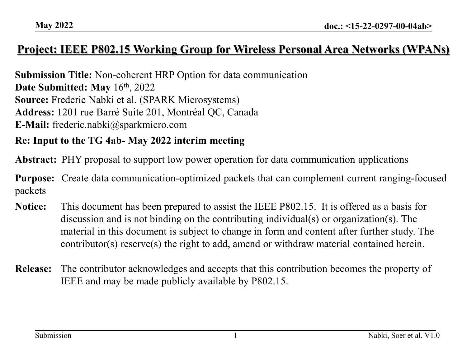#### **Project: IEEE P802.15 Working Group for Wireless Personal Area Networks (WPANs)**

**Submission Title:** Non-coherent HRP Option for data communication **Date Submitted: May** 16th, 2022 **Source:** Frederic Nabki et al. (SPARK Microsystems) **Address:** 1201 rue Barré Suite 201, Montréal QC, Canada **E-Mail:** frederic.nabki@sparkmicro.com

#### **Re: Input to the TG 4ab- May 2022 interim meeting**

**Abstract:** PHY proposal to support low power operation for data communication applications

**Purpose:** Create data communication-optimized packets that can complement current ranging-focused packets

- **Notice:** This document has been prepared to assist the IEEE P802.15. It is offered as a basis for discussion and is not binding on the contributing individual(s) or organization(s). The material in this document is subject to change in form and content after further study. The contributor(s) reserve(s) the right to add, amend or withdraw material contained herein.
- **Release:** The contributor acknowledges and accepts that this contribution becomes the property of IEEE and may be made publicly available by P802.15.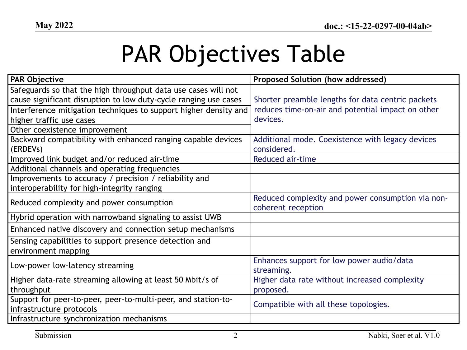### PAR Objectives Table

| <b>PAR Objective</b>                                             | <b>Proposed Solution (how addressed)</b>                                |  |
|------------------------------------------------------------------|-------------------------------------------------------------------------|--|
| Safeguards so that the high throughput data use cases will not   |                                                                         |  |
| cause significant disruption to low duty-cycle ranging use cases | Shorter preamble lengths for data centric packets                       |  |
| Interference mitigation techniques to support higher density and | reduces time-on-air and potential impact on other                       |  |
| higher traffic use cases                                         | devices.                                                                |  |
| Other coexistence improvement                                    |                                                                         |  |
| Backward compatibility with enhanced ranging capable devices     | Additional mode. Coexistence with legacy devices                        |  |
| (ERDEV <sub>S</sub> )                                            | considered.                                                             |  |
| Improved link budget and/or reduced air-time                     | Reduced air-time                                                        |  |
| Additional channels and operating frequencies                    |                                                                         |  |
| Improvements to accuracy / precision / reliability and           |                                                                         |  |
| interoperability for high-integrity ranging                      |                                                                         |  |
| Reduced complexity and power consumption                         | Reduced complexity and power consumption via non-<br>coherent reception |  |
| Hybrid operation with narrowband signaling to assist UWB         |                                                                         |  |
| Enhanced native discovery and connection setup mechanisms        |                                                                         |  |
| Sensing capabilities to support presence detection and           |                                                                         |  |
| environment mapping                                              |                                                                         |  |
| Low-power low-latency streaming                                  | Enhances support for low power audio/data                               |  |
|                                                                  | streaming.                                                              |  |
| Higher data-rate streaming allowing at least 50 Mbit/s of        | Higher data rate without increased complexity                           |  |
| throughput                                                       | proposed.                                                               |  |
| Support for peer-to-peer, peer-to-multi-peer, and station-to-    | Compatible with all these topologies.                                   |  |
| infrastructure protocols                                         |                                                                         |  |
| Infrastructure synchronization mechanisms                        |                                                                         |  |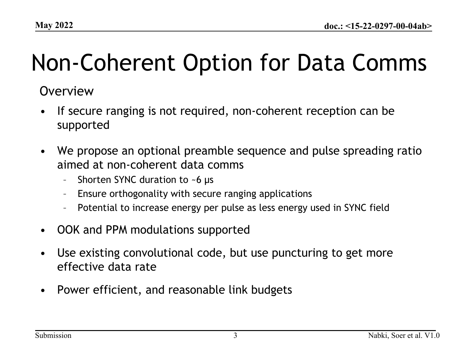## Non-Coherent Option for Data Comms

**Overview** 

- If secure ranging is not required, non-coherent reception can be supported
- We propose an optional preamble sequence and pulse spreading ratio aimed at non-coherent data comms
	- Shorten SYNC duration to  $\sim$  6  $\mu$ s
	- Ensure orthogonality with secure ranging applications
	- Potential to increase energy per pulse as less energy used in SYNC field
- OOK and PPM modulations supported
- Use existing convolutional code, but use puncturing to get more effective data rate
- Power efficient, and reasonable link budgets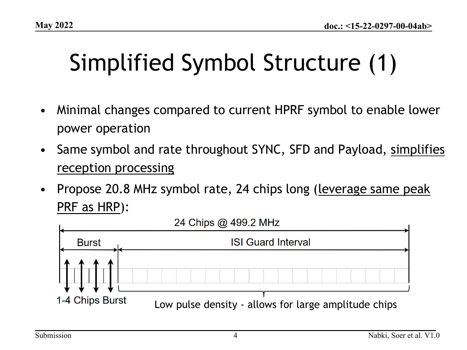## Simplified Symbol Structure (1)

- Minimal changes compared to current HPRF symbol to enable lower power operation
- Same symbol and rate throughout SYNC, SFD and Payload, simplifies reception processing
- Propose 20.8 MHz symbol rate, 24 chips long (leverage same peak PRF as HRP):

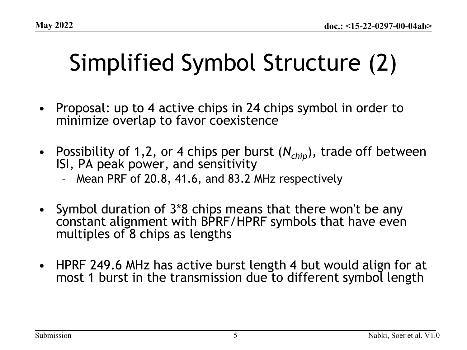# Simplified Symbol Structure (2)

- Proposal: up to 4 active chips in 24 chips symbol in order to minimize overlap to favor coexistence
- Possibility of 1,2, or 4 chips per burst (N<sub>chip</sub>), trade off between ISI, PA peak power, and sensitivity
	- Mean PRF of 20.8, 41.6, and 83.2 MHz respectively
- Symbol duration of 3\*8 chips means that there won't be any constant alignment with BPRF/HPRF symbols that have even multiples of 8 chips as lengths
- HPRF 249.6 MHz has active burst length 4 but would align for at most 1 burst in the transmission due to different symbol length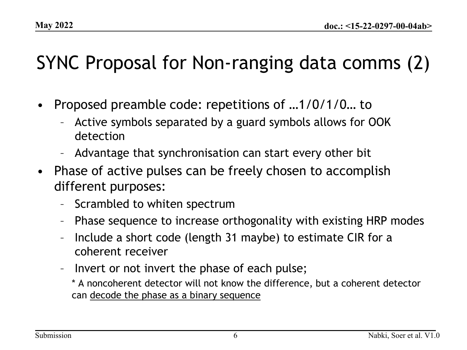#### SYNC Proposal for Non-ranging data comms (2)

- Proposed preamble code: repetitions of …1/0/1/0… to
	- Active symbols separated by a guard symbols allows for OOK detection
	- Advantage that synchronisation can start every other bit
- Phase of active pulses can be freely chosen to accomplish different purposes:
	- Scrambled to whiten spectrum
	- Phase sequence to increase orthogonality with existing HRP modes
	- Include a short code (length 31 maybe) to estimate CIR for a coherent receiver
	- Invert or not invert the phase of each pulse;
		- \* A noncoherent detector will not know the difference, but a coherent detector can decode the phase as a binary sequence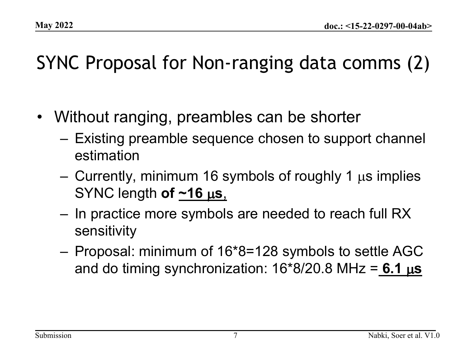#### SYNC Proposal for Non-ranging data comms (2)

- Without ranging, preambles can be shorter
	- Existing preamble sequence chosen to support channel estimation
	- Currently, minimum 16 symbols of roughly 1  $\mu$ s implies SYNC length **of ~16** µ**s**,
	- In practice more symbols are needed to reach full RX sensitivity
	- Proposal: minimum of 16\*8=128 symbols to settle AGC and do timing synchronization: 16\*8/20.8 MHz = **6.1** µ**s**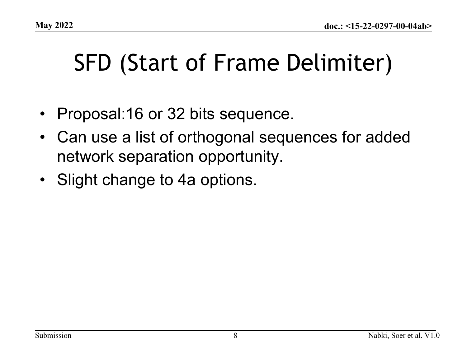#### SFD (Start of Frame Delimiter)

- Proposal:16 or 32 bits sequence.
- Can use a list of orthogonal sequences for added network separation opportunity.
- Slight change to 4a options.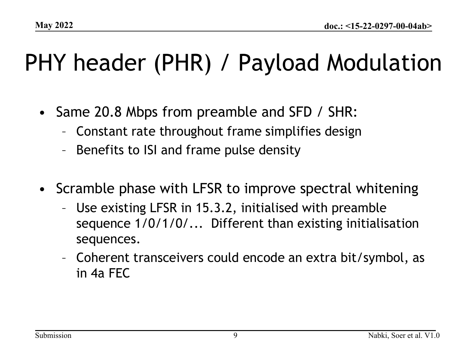### PHY header (PHR) / Payload Modulation

- Same 20.8 Mbps from preamble and SFD / SHR:
	- Constant rate throughout frame simplifies design
	- Benefits to ISI and frame pulse density
- Scramble phase with LFSR to improve spectral whitening
	- Use existing LFSR in 15.3.2, initialised with preamble sequence 1/0/1/0/... Different than existing initialisation sequences.
	- Coherent transceivers could encode an extra bit/symbol, as in 4a FEC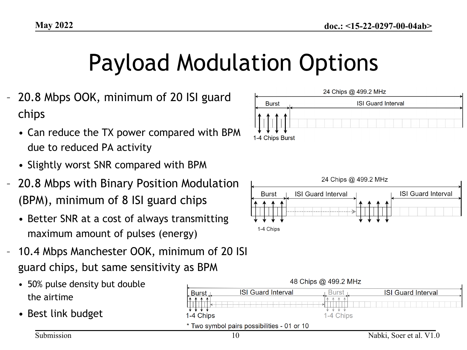### Payload Modulation Options

- 20.8 Mbps OOK, minimum of 20 ISI guard chips
	- Can reduce the TX power compared with BPM due to reduced PA activity
	- Slightly worst SNR compared with BPM
- 20.8 Mbps with Binary Position Modulation (BPM), minimum of 8 ISI guard chips
	- Better SNR at a cost of always transmitting maximum amount of pulses (energy)
- 10.4 Mbps Manchester OOK, minimum of 20 ISI guard chips, but same sensitivity as BPM
	- $\cdot$  50% pulse density but do the airtime
	- Best link budget





| ouble | 48 Chips @ 499.2 MHz |                                             |           |                                                                                                                                                    |  |
|-------|----------------------|---------------------------------------------|-----------|----------------------------------------------------------------------------------------------------------------------------------------------------|--|
|       | <b>Burst</b>         | <b>ISI Guard Interval</b>                   |           | <b>ISI Guard Interval</b>                                                                                                                          |  |
|       | 1-4 Chips            |                                             | 1-4 Chips |                                                                                                                                                    |  |
|       |                      | * Two symbol pairs possibilities - 01 or 10 |           |                                                                                                                                                    |  |
|       |                      | 1 Λ                                         |           | $N_0$ <sub>k</sub> $\frac{1}{2}$ , $\frac{1}{2}$ $\frac{1}{2}$ $\frac{1}{2}$ $\frac{1}{2}$ $\frac{1}{2}$ $\frac{1}{2}$ $\frac{1}{2}$ $\frac{1}{2}$ |  |

**May 2022**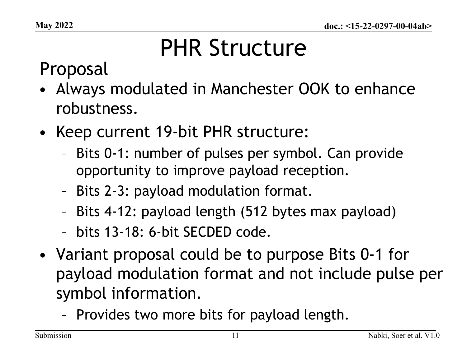# PHR Structure

Proposal

- Always modulated in Manchester OOK to enhance robustness.
- Keep current 19-bit PHR structure:
	- Bits 0-1: number of pulses per symbol. Can provide opportunity to improve payload reception.
	- Bits 2-3: payload modulation format.
	- Bits 4-12: payload length (512 bytes max payload)
	- bits 13-18: 6-bit SECDED code.
- Variant proposal could be to purpose Bits 0-1 for payload modulation format and not include pulse per symbol information.
	- Provides two more bits for payload length.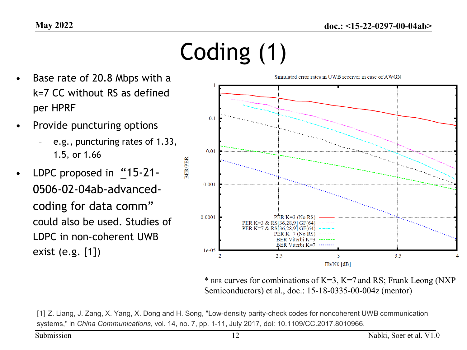# Coding (1)

- Base rate of 20.8 Mbps with a k=7 CC without RS as defined per HPRF
- Provide puncturing options
	- e.g., puncturing rates of 1.33, 1.5, or 1.66
- LDPC proposed in "15-21- 0506-02-04ab-advancedcoding for data comm" could also be used. Studies of LDPC in non-coherent UWB exist (e.g. [1])



\* BER curves for combinations of K=3, K=7 and RS; Frank Leong (NXP) Semiconductors) et al., doc.: 15-18-0335-00-004z (mentor)

[1] Z. Liang, J. Zang, X. Yang, X. Dong and H. Song, "Low-density parity-check codes for noncoherent UWB communication systems," in *China Communications*, vol. 14, no. 7, pp. 1-11, July 2017, doi: 10.1109/CC.2017.8010966.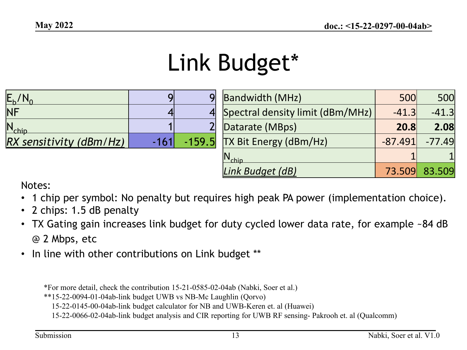### Link Budget\*

| IE. /N                  |        |          |
|-------------------------|--------|----------|
| NF                      |        |          |
|                         |        |          |
| RX sensitivity (dBm/Hz) | $-161$ | $-159.5$ |

| <b>Bandwidth (MHz)</b>           | 500       | 500      |
|----------------------------------|-----------|----------|
| Spectral density limit (dBm/MHz) | $-41.3$   | $-41.3$  |
| Datarate (MBps)                  | 20.8      | 2.08     |
| <b>TX Bit Energy (dBm/Hz)</b>    | $-87.491$ | $-77.49$ |
| chin                             |           |          |
| Link Budget (dB)                 | 73.509    | 83.509   |

Notes:

- 1 chip per symbol: No penalty but requires high peak PA power (implementation choice).
- 2 chips: 1.5 dB penalty
- TX Gating gain increases link budget for duty cycled lower data rate, for example ~84 dB @ 2 Mbps, etc
- In line with other contributions on Link budget \*\*

\*For more detail, check the contribution 15-21-0585-02-04ab (Nabki, Soer et al.)

\*\*15-22-0094-01-04ab-link budget UWB vs NB-Mc Laughlin (Qorvo)

15-22-0145-00-04ab-link budget calculator for NB and UWB-Keren et. al (Huawei)

15-22-0066-02-04ab-link budget analysis and CIR reporting for UWB RF sensing- Pakrooh et. al (Qualcomm)